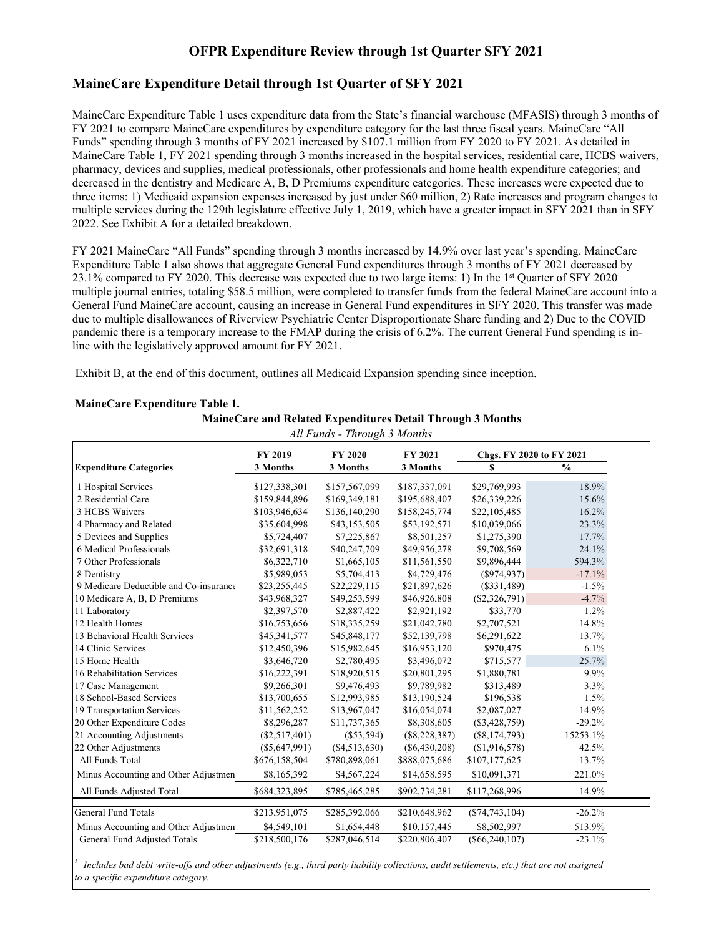### **OFPR Expenditure Review through 1st Quarter SFY 2021**

#### **MaineCare Expenditure Detail through 1st Quarter of SFY 2021**

MaineCare Expenditure Table 1 uses expenditure data from the State's financial warehouse (MFASIS) through 3 months of FY 2021 to compare MaineCare expenditures by expenditure category for the last three fiscal years. MaineCare "All Funds" spending through 3 months of FY 2021 increased by \$107.1 million from FY 2020 to FY 2021. As detailed in MaineCare Table 1, FY 2021 spending through 3 months increased in the hospital services, residential care, HCBS waivers, pharmacy, devices and supplies, medical professionals, other professionals and home health expenditure categories; and decreased in the dentistry and Medicare A, B, D Premiums expenditure categories. These increases were expected due to three items: 1) Medicaid expansion expenses increased by just under \$60 million, 2) Rate increases and program changes to multiple services during the 129th legislature effective July 1, 2019, which have a greater impact in SFY 2021 than in SFY 2022. See Exhibit A for a detailed breakdown.

FY 2021 MaineCare "All Funds" spending through 3 months increased by 14.9% over last year's spending. MaineCare Expenditure Table 1 also shows that aggregate General Fund expenditures through 3 months of FY 2021 decreased by 23.1% compared to FY 2020. This decrease was expected due to two large items: 1) In the 1st Quarter of SFY 2020 multiple journal entries, totaling \$58.5 million, were completed to transfer funds from the federal MaineCare account into a General Fund MaineCare account, causing an increase in General Fund expenditures in SFY 2020. This transfer was made due to multiple disallowances of Riverview Psychiatric Center Disproportionate Share funding and 2) Due to the COVID pandemic there is a temporary increase to the FMAP during the crisis of 6.2%. The current General Fund spending is inline with the legislatively approved amount for FY 2021.

Exhibit B, at the end of this document, outlines all Medicaid Expansion spending since inception.

| All Funds - Through 3 Months           |                 |                |                 |                          |               |  |  |
|----------------------------------------|-----------------|----------------|-----------------|--------------------------|---------------|--|--|
|                                        | <b>FY 2019</b>  | <b>FY 2020</b> | <b>FY 2021</b>  | Chgs. FY 2020 to FY 2021 |               |  |  |
| <b>Expenditure Categories</b>          | 3 Months        | 3 Months       | 3 Months        | S                        | $\frac{0}{0}$ |  |  |
| 1 Hospital Services                    | \$127,338,301   | \$157,567,099  | \$187,337,091   | \$29,769,993             | 18.9%         |  |  |
| 2 Residential Care                     | \$159,844,896   | \$169,349,181  | \$195,688,407   | \$26,339,226             | 15.6%         |  |  |
| 3 HCBS Waivers                         | \$103,946,634   | \$136,140,290  | \$158,245,774   | \$22,105,485             | 16.2%         |  |  |
| 4 Pharmacy and Related                 | \$35,604,998    | \$43,153,505   | \$53,192,571    | \$10,039,066             | 23.3%         |  |  |
| 5 Devices and Supplies                 | \$5,724,407     | \$7,225,867    | \$8,501,257     | \$1,275,390              | 17.7%         |  |  |
| 6 Medical Professionals                | \$32,691,318    | \$40,247,709   | \$49,956,278    | \$9,708,569              | 24.1%         |  |  |
| 7 Other Professionals                  | \$6,322,710     | \$1,665,105    | \$11,561,550    | \$9,896,444              | 594.3%        |  |  |
| 8 Dentistry                            | \$5,989,053     | \$5,704,413    | \$4,729,476     | (S974, 937)              | $-17.1%$      |  |  |
| 9 Medicare Deductible and Co-insurance | \$23,255,445    | \$22,229,115   | \$21,897,626    | $(\$331,489)$            | $-1.5\%$      |  |  |
| 10 Medicare A, B, D Premiums           | \$43,968,327    | \$49,253,599   | \$46,926,808    | $(\$2,326,791)$          | $-4.7%$       |  |  |
| 11 Laboratory                          | \$2,397,570     | \$2,887,422    | \$2,921,192     | \$33,770                 | 1.2%          |  |  |
| 12 Health Homes                        | \$16,753,656    | \$18,335,259   | \$21,042,780    | \$2,707,521              | 14.8%         |  |  |
| 13 Behavioral Health Services          | \$45,341,577    | \$45,848,177   | \$52,139,798    | \$6,291,622              | 13.7%         |  |  |
| 14 Clinic Services                     | \$12,450,396    | \$15,982,645   | \$16,953,120    | \$970,475                | 6.1%          |  |  |
| 15 Home Health                         | \$3,646,720     | \$2,780,495    | \$3,496,072     | \$715,577                | 25.7%         |  |  |
| 16 Rehabilitation Services             | \$16,222,391    | \$18,920,515   | \$20,801,295    | \$1,880,781              | 9.9%          |  |  |
| 17 Case Management                     | \$9,266,301     | \$9,476,493    | \$9,789,982     | \$313,489                | 3.3%          |  |  |
| 18 School-Based Services               | \$13,700,655    | \$12,993,985   | \$13,190,524    | \$196,538                | 1.5%          |  |  |
| 19 Transportation Services             | \$11,562,252    | \$13,967,047   | \$16,054,074    | \$2,087,027              | 14.9%         |  |  |
| 20 Other Expenditure Codes             | \$8,296,287     | \$11,737,365   | \$8,308,605     | $(\$3,428,759)$          | $-29.2%$      |  |  |
| 21 Accounting Adjustments              | (\$2,517,401)   | $(\$53,594)$   | $(\$8,228,387)$ | $(\$8,174,793)$          | 15253.1%      |  |  |
| 22 Other Adjustments                   | $(\$5,647,991)$ | (\$4,513,630)  | $(\$6,430,208)$ | (\$1,916,578)            | 42.5%         |  |  |
| All Funds Total                        | \$676,158,504   | \$780,898,061  | \$888,075,686   | \$107,177,625            | 13.7%         |  |  |
| Minus Accounting and Other Adjustmen   | \$8,165,392     | \$4,567,224    | \$14,658,595    | \$10,091,371             | 221.0%        |  |  |
| All Funds Adjusted Total               | \$684,323,895   | \$785,465,285  | \$902,734,281   | \$117,268,996            | 14.9%         |  |  |
| <b>General Fund Totals</b>             | \$213,951,075   | \$285,392,066  | \$210,648,962   | $(\$74,743,104)$         | $-26.2%$      |  |  |
| Minus Accounting and Other Adjustmen   | \$4,549,101     | \$1,654,448    | \$10,157,445    | \$8,502,997              | 513.9%        |  |  |
| General Fund Adjusted Totals           | \$218,500,176   | \$287,046,514  | \$220,806,407   | $(\$66,240,107)$         | $-23.1%$      |  |  |

#### **MaineCare Expenditure Table 1.**

**MaineCare and Related Expenditures Detail Through 3 Months**

*1 Includes bad debt write-offs and other adjustments (e.g., third party liability collections, audit settlements, etc.) that are not assigned to a specific expenditure category.*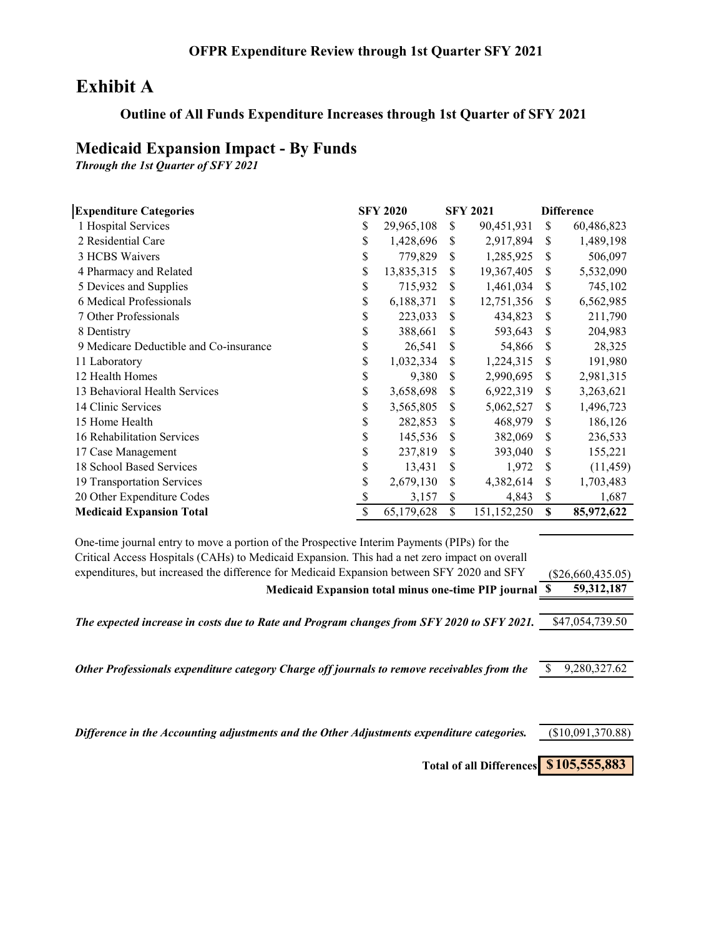# **Exhibit A**

## **Outline of All Funds Expenditure Increases through 1st Quarter of SFY 2021**

# **Medicaid Expansion Impact - By Funds**

*Through the 1st Quarter of SFY 2021*

| <b>Expenditure Categories</b>          |    | <b>SFY 2020</b> |    | <b>SFY 2021</b> |    | <b>Difference</b> |
|----------------------------------------|----|-----------------|----|-----------------|----|-------------------|
| 1 Hospital Services                    | \$ | 29,965,108      | \$ | 90,451,931      | \$ | 60,486,823        |
| 2 Residential Care                     | \$ | 1,428,696       | \$ | 2,917,894       | S  | 1,489,198         |
| 3 HCBS Waivers                         | \$ | 779,829         | \$ | 1,285,925       | S  | 506,097           |
| 4 Pharmacy and Related                 | \$ | 13,835,315      | \$ | 19,367,405      | \$ | 5,532,090         |
| 5 Devices and Supplies                 | \$ | 715,932         | \$ | 1,461,034       | S  | 745,102           |
| 6 Medical Professionals                | \$ | 6,188,371       | \$ | 12,751,356      | \$ | 6,562,985         |
| 7 Other Professionals                  | \$ | 223,033         | S  | 434,823         | S  | 211,790           |
| 8 Dentistry                            | \$ | 388,661         | \$ | 593,643         | S  | 204,983           |
| 9 Medicare Deductible and Co-insurance | \$ | 26,541          | S  | 54,866          | S  | 28,325            |
| 11 Laboratory                          | \$ | 1,032,334       | \$ | 1,224,315       | S  | 191,980           |
| 12 Health Homes                        | \$ | 9,380           | \$ | 2,990,695       | S  | 2,981,315         |
| 13 Behavioral Health Services          | \$ | 3,658,698       | \$ | 6,922,319       | S  | 3,263,621         |
| 14 Clinic Services                     | \$ | 3,565,805       | \$ | 5,062,527       | S  | 1,496,723         |
| 15 Home Health                         | \$ | 282,853         | \$ | 468,979         | S  | 186,126           |
| 16 Rehabilitation Services             | \$ | 145,536         | \$ | 382,069         | S  | 236,533           |
| 17 Case Management                     | \$ | 237,819         | \$ | 393,040         | S  | 155,221           |
| 18 School Based Services               | \$ | 13,431          | S  | 1,972           | S  | (11, 459)         |
| 19 Transportation Services             | \$ | 2,679,130       | \$ | 4,382,614       | S  | 1,703,483         |
| 20 Other Expenditure Codes             | S  | 3,157           | \$ | 4,843           | \$ | 1,687             |
| <b>Medicaid Expansion Total</b>        | \$ | 65,179,628      | \$ | 151,152,250     | \$ | 85,972,622        |

| One-time journal entry to move a portion of the Prospective Interim Payments (PIPs) for the   |                     |  |
|-----------------------------------------------------------------------------------------------|---------------------|--|
| Critical Access Hospitals (CAHs) to Medicaid Expansion. This had a net zero impact on overall |                     |  |
| expenditures, but increased the difference for Medicaid Expansion between SFY 2020 and SFY    | $(\$26,660,435.05)$ |  |
| Medicaid Expansion total minus one-time PIP journal \$                                        | 59,312,187          |  |
|                                                                                               |                     |  |
| The expected increase in costs due to Rate and Program changes from SFY 2020 to SFY 2021.     | \$47,054,739.50     |  |
|                                                                                               |                     |  |
|                                                                                               |                     |  |
| Other Professionals expenditure category Charge off journals to remove receivables from the   | 9,280,327.62        |  |
|                                                                                               |                     |  |
|                                                                                               |                     |  |
| Difference in the Accounting adjustments and the Other Adjustments expenditure categories.    | (\$10,091,370.88)   |  |
|                                                                                               |                     |  |
| Total of all Differences \$105,555,883                                                        |                     |  |
|                                                                                               |                     |  |